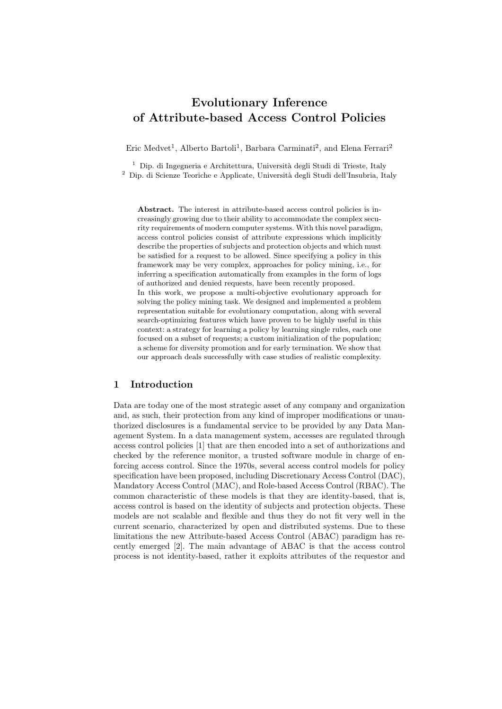# Evolutionary Inference of Attribute-based Access Control Policies

Eric Medvet<sup>1</sup>, Alberto Bartoli<sup>1</sup>, Barbara Carminati<sup>2</sup>, and Elena Ferrari<sup>2</sup>

<sup>1</sup> Dip. di Ingegneria e Architettura, Università degli Studi di Trieste, Italy  $^2\,$  Dip. di Scienze Teoriche e Applicate, Università degli Studi dell'Insubria, Italy

Abstract. The interest in attribute-based access control policies is increasingly growing due to their ability to accommodate the complex security requirements of modern computer systems. With this novel paradigm, access control policies consist of attribute expressions which implicitly describe the properties of subjects and protection objects and which must be satisfied for a request to be allowed. Since specifying a policy in this framework may be very complex, approaches for policy mining, i.e., for inferring a specification automatically from examples in the form of logs of authorized and denied requests, have been recently proposed. In this work, we propose a multi-objective evolutionary approach for solving the policy mining task. We designed and implemented a problem representation suitable for evolutionary computation, along with several search-optimizing features which have proven to be highly useful in this context: a strategy for learning a policy by learning single rules, each one focused on a subset of requests; a custom initialization of the population; a scheme for diversity promotion and for early termination. We show that our approach deals successfully with case studies of realistic complexity.

# 1 Introduction

Data are today one of the most strategic asset of any company and organization and, as such, their protection from any kind of improper modifications or unauthorized disclosures is a fundamental service to be provided by any Data Management System. In a data management system, accesses are regulated through access control policies [1] that are then encoded into a set of authorizations and checked by the reference monitor, a trusted software module in charge of enforcing access control. Since the 1970s, several access control models for policy specification have been proposed, including Discretionary Access Control (DAC), Mandatory Access Control (MAC), and Role-based Access Control (RBAC). The common characteristic of these models is that they are identity-based, that is, access control is based on the identity of subjects and protection objects. These models are not scalable and flexible and thus they do not fit very well in the current scenario, characterized by open and distributed systems. Due to these limitations the new Attribute-based Access Control (ABAC) paradigm has recently emerged [2]. The main advantage of ABAC is that the access control process is not identity-based, rather it exploits attributes of the requestor and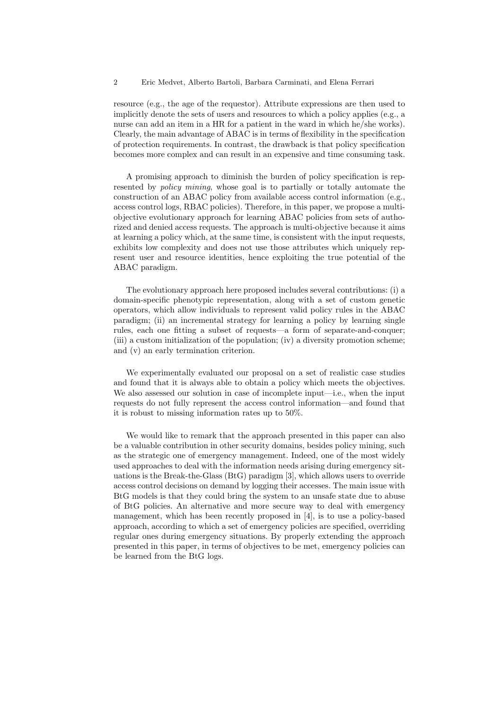resource (e.g., the age of the requestor). Attribute expressions are then used to implicitly denote the sets of users and resources to which a policy applies (e.g., a nurse can add an item in a HR for a patient in the ward in which he/she works). Clearly, the main advantage of ABAC is in terms of flexibility in the specification of protection requirements. In contrast, the drawback is that policy specification becomes more complex and can result in an expensive and time consuming task.

A promising approach to diminish the burden of policy specification is represented by *policy mining*, whose goal is to partially or totally automate the construction of an ABAC policy from available access control information (e.g., access control logs, RBAC policies). Therefore, in this paper, we propose a multiobjective evolutionary approach for learning ABAC policies from sets of authorized and denied access requests. The approach is multi-objective because it aims at learning a policy which, at the same time, is consistent with the input requests, exhibits low complexity and does not use those attributes which uniquely represent user and resource identities, hence exploiting the true potential of the ABAC paradigm.

The evolutionary approach here proposed includes several contributions: (i) a domain-specific phenotypic representation, along with a set of custom genetic operators, which allow individuals to represent valid policy rules in the ABAC paradigm; (ii) an incremental strategy for learning a policy by learning single rules, each one fitting a subset of requests—a form of separate-and-conquer; (iii) a custom initialization of the population; (iv) a diversity promotion scheme; and (v) an early termination criterion.

We experimentally evaluated our proposal on a set of realistic case studies and found that it is always able to obtain a policy which meets the objectives. We also assessed our solution in case of incomplete input—i.e., when the input requests do not fully represent the access control information—and found that it is robust to missing information rates up to 50%.

We would like to remark that the approach presented in this paper can also be a valuable contribution in other security domains, besides policy mining, such as the strategic one of emergency management. Indeed, one of the most widely used approaches to deal with the information needs arising during emergency situations is the Break-the-Glass (BtG) paradigm [3], which allows users to override access control decisions on demand by logging their accesses. The main issue with BtG models is that they could bring the system to an unsafe state due to abuse of BtG policies. An alternative and more secure way to deal with emergency management, which has been recently proposed in [4], is to use a policy-based approach, according to which a set of emergency policies are specified, overriding regular ones during emergency situations. By properly extending the approach presented in this paper, in terms of objectives to be met, emergency policies can be learned from the BtG logs.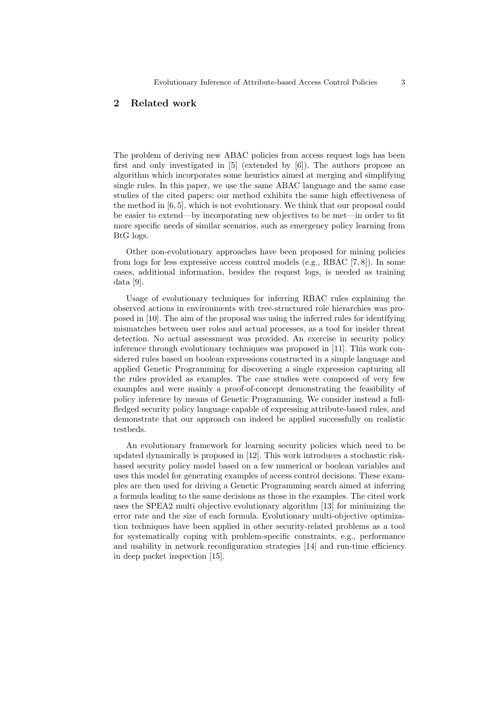# 2 Related work

The problem of deriving new ABAC policies from access request logs has been first and only investigated in [5] (extended by [6]). The authors propose an algorithm which incorporates some heuristics aimed at merging and simplifying single rules. In this paper, we use the same ABAC language and the same case studies of the cited papers: our method exhibits the same high effectiveness of the method in [6, 5], which is not evolutionary. We think that our proposal could be easier to extend—by incorporating new objectives to be met—in order to fit more specific needs of similar scenarios, such as emergency policy learning from BtG logs.

Other non-evolutionary approaches have been proposed for mining policies from logs for less expressive access control models (e.g., RBAC [7, 8]). In some cases, additional information, besides the request logs, is needed as training data [9].

Usage of evolutionary techniques for inferring RBAC rules explaining the observed actions in environments with tree-structured role hierarchies was proposed in [10]. The aim of the proposal was using the inferred rules for identifying mismatches between user roles and actual processes, as a tool for insider threat detection. No actual assessment was provided. An exercise in security policy inference through evolutionary techniques was proposed in [11]. This work considered rules based on boolean expressions constructed in a simple language and applied Genetic Programming for discovering a single expression capturing all the rules provided as examples. The case studies were composed of very few examples and were mainly a proof-of-concept demonstrating the feasibility of policy inference by means of Genetic Programming. We consider instead a fullfledged security policy language capable of expressing attribute-based rules, and demonstrate that our approach can indeed be applied successfully on realistic testbeds.

An evolutionary framework for learning security policies which need to be updated dynamically is proposed in [12]. This work introduces a stochastic riskbased security policy model based on a few numerical or boolean variables and uses this model for generating examples of access control decisions. These examples are then used for driving a Genetic Programming search aimed at inferring a formula leading to the same decisions as those in the examples. The cited work uses the SPEA2 multi objective evolutionary algorithm [13] for minimizing the error rate and the size of each formula. Evolutionary multi-objective optimization techniques have been applied in other security-related problems as a tool for systematically coping with problem-specific constraints, e.g., performance and usability in network reconfiguration strategies [14] and run-time efficiency in deep packet inspection [15].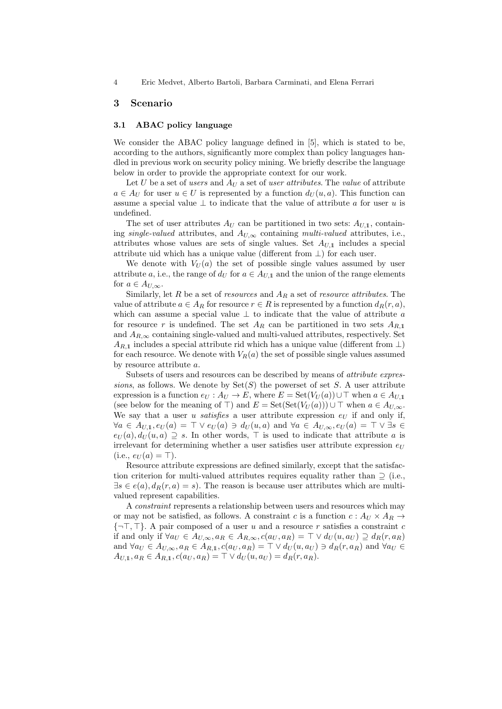### 3 Scenario

### 3.1 ABAC policy language

We consider the ABAC policy language defined in [5], which is stated to be, according to the authors, significantly more complex than policy languages handled in previous work on security policy mining. We briefly describe the language below in order to provide the appropriate context for our work.

Let U be a set of users and  $A_U$  a set of user attributes. The value of attribute  $a \in A_U$  for user  $u \in U$  is represented by a function  $d_U(u, a)$ . This function can assume a special value  $\perp$  to indicate that the value of attribute a for user u is undefined.

The set of user attributes  $A_U$  can be partitioned in two sets:  $A_{U,1}$ , containing single-valued attributes, and  $A_{U,\infty}$  containing multi-valued attributes, i.e., attributes whose values are sets of single values. Set  $A_{U,1}$  includes a special attribute uid which has a unique value (different from  $\perp$ ) for each user.

We denote with  $V_U(a)$  the set of possible single values assumed by user attribute a, i.e., the range of  $d_U$  for  $a \in A_{U,1}$  and the union of the range elements for  $a \in A_{U,\infty}$ .

Similarly, let R be a set of resources and  $A_R$  a set of resource attributes. The value of attribute  $a \in A_R$  for resource  $r \in R$  is represented by a function  $d_R(r, a)$ , which can assume a special value  $\perp$  to indicate that the value of attribute a for resource r is undefined. The set  $A_R$  can be partitioned in two sets  $A_{R,1}$ and  $A_{R,\infty}$  containing single-valued and multi-valued attributes, respectively. Set  $A_{R,1}$  includes a special attribute rid which has a unique value (different from  $\perp$ ) for each resource. We denote with  $V_R(a)$  the set of possible single values assumed by resource attribute a.

Subsets of users and resources can be described by means of attribute expressions, as follows. We denote by  $Set(S)$  the powerset of set S. A user attribute expression is a function  $e_U : A_U \to E$ , where  $E = \text{Set}(V_U(a)) \cup \top$  when  $a \in A_{U,1}$ (see below for the meaning of  $\top$ ) and  $E = \text{Set}(\text{Set}(V_U(a))) \cup \top$  when  $a \in A_{U,\infty}$ . We say that a user u satisfies a user attribute expression  $e_U$  if and only if,  $\forall a \in A_{U,1}, e_U(a) = \top \vee e_U(a) \ni d_U(u, a)$  and  $\forall a \in A_{U,\infty}, e_U(a) = \top \vee \exists s \in \mathbb{R}$  $e_U(a), d_U(u, a) \supseteq s$ . In other words,  $\top$  is used to indicate that attribute a is irrelevant for determining whether a user satisfies user attribute expression  $e_U$  $(i.e., e_U(a) = \top).$ 

Resource attribute expressions are defined similarly, except that the satisfaction criterion for multi-valued attributes requires equality rather than  $\supseteq$  (i.e.,  $\exists s \in e(a), d_R(r, a) = s$ . The reason is because user attributes which are multivalued represent capabilities.

A constraint represents a relationship between users and resources which may or may not be satisfied, as follows. A constraint c is a function  $c: A_U \times A_R \rightarrow$  $\{\neg \top, \top\}$ . A pair composed of a user u and a resource r satisfies a constraint c if and only if  $\forall a_U \in A_{U,\infty}, a_R \in A_{R,\infty}, c(a_U, a_R) = \top \vee d_U(u, a_U) \supseteq d_R(r, a_R)$ and  $\forall a_U \in A_{U,\infty}, a_R \in A_{R,1}, c(a_U, a_R) = \top \vee d_U(u, a_U) \ni d_R(r, a_R)$  and  $\forall a_U \in A_{U,\infty}$  $A_{U,1}, a_R \in A_{R,1}, c(a_U, a_R) = \top \vee d_U(u, a_U) = d_R(r, a_R).$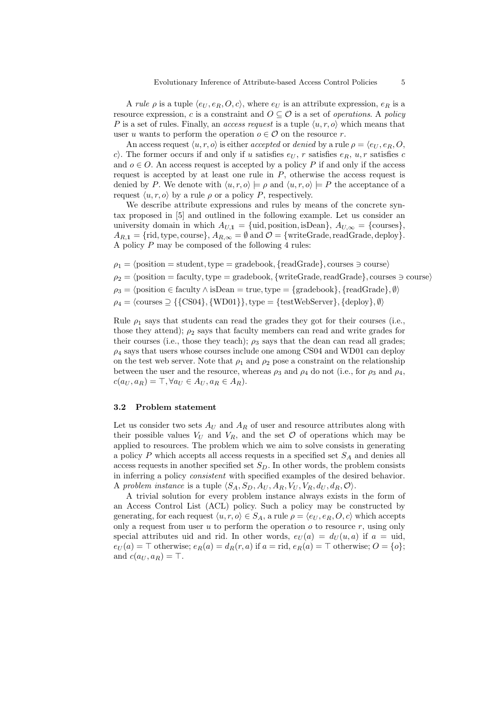A rule  $\rho$  is a tuple  $\langle e_U, e_R, O, c \rangle$ , where  $e_U$  is an attribute expression,  $e_R$  is a resource expression, c is a constraint and  $O \subseteq \mathcal{O}$  is a set of *operations*. A *policy* P is a set of rules. Finally, an *access request* is a tuple  $\langle u, r, o \rangle$  which means that user u wants to perform the operation  $o \in \mathcal{O}$  on the resource r.

An access request  $\langle u, r, o \rangle$  is either accepted or denied by a rule  $\rho = \langle e_U, e_R, O \rangle$ , c). The former occurs if and only if u satisfies  $e_U$ , r satisfies  $e_R$ , u, r satisfies c and  $o \in O$ . An access request is accepted by a policy P if and only if the access request is accepted by at least one rule in  $P$ , otherwise the access request is denied by P. We denote with  $\langle u, r, o \rangle \models \rho$  and  $\langle u, r, o \rangle \models P$  the acceptance of a request  $\langle u, r, o \rangle$  by a rule  $\rho$  or a policy P, respectively.

We describe attribute expressions and rules by means of the concrete syntax proposed in [5] and outlined in the following example. Let us consider an university domain in which  $A_{U,1} = \{\text{uid}, \text{position}, \text{isDean}\}, A_{U,\infty} = \{\text{courses}\},\$  $A_{R,1} = \{ \text{rid, type, course} \}, A_{R,\infty} = \emptyset \text{ and } \mathcal{O} = \{ \text{writeGrade, readGrade, deploy} \}.$ A policy  $P$  may be composed of the following 4 rules:

- $\rho_1 = \langle$  position = student, type = gradebook, {readGrade}, courses  $\supset$  course)
- $\rho_2 = \langle$  position = faculty, type = gradebook, {writeGrade, readGrade}, courses  $\geq$  course)
- $\rho_3 = \text{position} \in \text{faculty} \land \text{isDean} = \text{true}, \text{type} = \text{gradebook}, \text{freadGrade}, \emptyset$
- $\rho_4 = \langle \text{course} \supseteq {\{\text{CS04}\}, \{\text{WD01}\}\}, \text{type} = {\{\text{testWebServer}\}, \{\text{deploy}\}, \emptyset}$

Rule  $\rho_1$  says that students can read the grades they got for their courses (i.e., those they attend);  $\rho_2$  says that faculty members can read and write grades for their courses (i.e., those they teach);  $\rho_3$  says that the dean can read all grades;  $\rho_4$  says that users whose courses include one among CS04 and WD01 can deploy on the test web server. Note that  $\rho_1$  and  $\rho_2$  pose a constraint on the relationship between the user and the resource, whereas  $\rho_3$  and  $\rho_4$  do not (i.e., for  $\rho_3$  and  $\rho_4$ ,  $c(a_U, a_R) = \top, \forall a_U \in A_U, a_R \in A_R$ .

#### 3.2 Problem statement

Let us consider two sets  $A_U$  and  $A_R$  of user and resource attributes along with their possible values  $V_U$  and  $V_R$ , and the set  $\mathcal O$  of operations which may be applied to resources. The problem which we aim to solve consists in generating a policy  $P$  which accepts all access requests in a specified set  $S_A$  and denies all access requests in another specified set  $S_D$ . In other words, the problem consists in inferring a policy consistent with specified examples of the desired behavior. A problem instance is a tuple  $\langle S_A, S_D, A_U, A_R, V_U, V_R, d_U, d_R, \mathcal{O} \rangle$ .

A trivial solution for every problem instance always exists in the form of an Access Control List (ACL) policy. Such a policy may be constructed by generating, for each request  $\langle u, r, o \rangle \in S_A$ , a rule  $\rho = \langle e_U, e_R, O, c \rangle$  which accepts only a request from user u to perform the operation  $o$  to resource r, using only special attributes uid and rid. In other words,  $e_U(a) = d_U(u, a)$  if  $a = \text{uid}$ ,  $e_U(a) = \top$  otherwise;  $e_R(a) = d_R(r, a)$  if  $a = \text{rid}, e_R(a) = \top$  otherwise;  $O = \{o\};$ and  $c(a_U, a_R) = \top$ .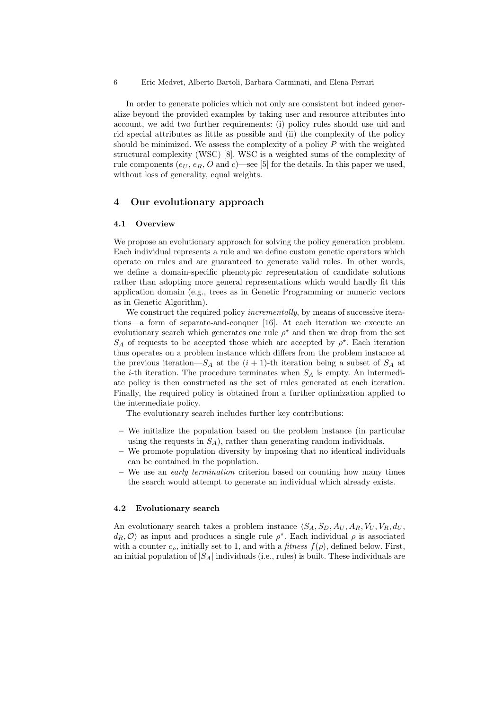In order to generate policies which not only are consistent but indeed generalize beyond the provided examples by taking user and resource attributes into account, we add two further requirements: (i) policy rules should use uid and rid special attributes as little as possible and (ii) the complexity of the policy should be minimized. We assess the complexity of a policy  $P$  with the weighted structural complexity (WSC) [8]. WSC is a weighted sums of the complexity of rule components  $(e_U, e_R, O \text{ and } c)$ —see [5] for the details. In this paper we used, without loss of generality, equal weights.

# 4 Our evolutionary approach

#### 4.1 Overview

We propose an evolutionary approach for solving the policy generation problem. Each individual represents a rule and we define custom genetic operators which operate on rules and are guaranteed to generate valid rules. In other words, we define a domain-specific phenotypic representation of candidate solutions rather than adopting more general representations which would hardly fit this application domain (e.g., trees as in Genetic Programming or numeric vectors as in Genetic Algorithm).

We construct the required policy *incrementally*, by means of successive iterations—a form of separate-and-conquer [16]. At each iteration we execute an evolutionary search which generates one rule  $\rho^*$  and then we drop from the set  $S_A$  of requests to be accepted those which are accepted by  $\rho^*$ . Each iteration thus operates on a problem instance which differs from the problem instance at the previous iteration— $S_A$  at the  $(i + 1)$ -th iteration being a subset of  $S_A$  at the *i*-th iteration. The procedure terminates when  $S_A$  is empty. An intermediate policy is then constructed as the set of rules generated at each iteration. Finally, the required policy is obtained from a further optimization applied to the intermediate policy.

The evolutionary search includes further key contributions:

- We initialize the population based on the problem instance (in particular using the requests in  $S_A$ ), rather than generating random individuals.
- We promote population diversity by imposing that no identical individuals can be contained in the population.
- We use an *early termination* criterion based on counting how many times the search would attempt to generate an individual which already exists.

#### 4.2 Evolutionary search

An evolutionary search takes a problem instance  $\langle S_A, S_D, A_U, A_R, V_U, V_R, d_U, \rangle$  $d_R, \mathcal{O}$  as input and produces a single rule  $\rho^*$ . Each individual  $\rho$  is associated with a counter  $c_{\rho}$ , initially set to 1, and with a *fitness*  $f(\rho)$ , defined below. First, an initial population of  $|S_A|$  individuals (i.e., rules) is built. These individuals are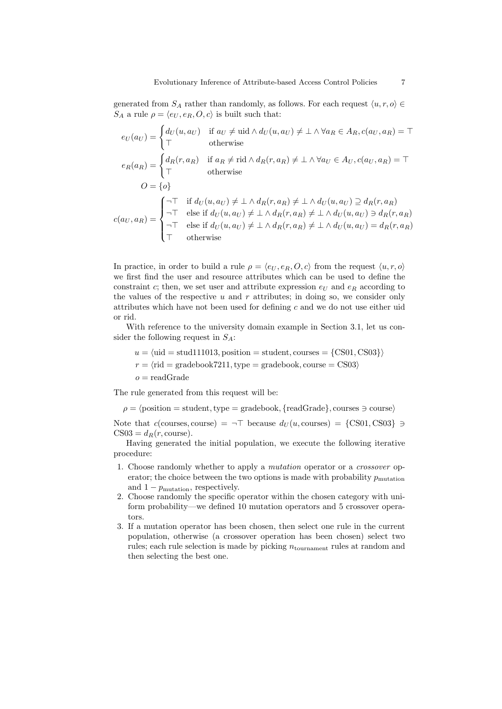generated from  $S_A$  rather than randomly, as follows. For each request  $\langle u, r, o \rangle \in$  $S_A$  a rule  $\rho = \langle e_U, e_R, O, c \rangle$  is built such that:

$$
e_U(a_U) = \begin{cases} d_U(u, a_U) & \text{if } a_U \neq \text{uid} \land d_U(u, a_U) \neq \bot \land \forall a_R \in A_R, c(a_U, a_R) = \top \\ \top & \text{otherwise} \end{cases}
$$
  
\n
$$
e_R(a_R) = \begin{cases} d_R(r, a_R) & \text{if } a_R \neq \text{rid} \land d_R(r, a_R) \neq \bot \land \forall a_U \in A_U, c(a_U, a_R) = \top \\ \top & \text{otherwise} \end{cases}
$$
  
\n
$$
O = \{o\}
$$
  
\n
$$
C(a_U, a_R) = \begin{cases} \neg \top & \text{if } d_U(u, a_U) \neq \bot \land d_R(r, a_R) \neq \bot \land d_U(u, a_U) \supseteq d_R(r, a_R) \\ \neg \top & \text{else if } d_U(u, a_U) \neq \bot \land d_R(r, a_R) \neq \bot \land d_U(u, a_U) \ni d_R(r, a_R) \\ \neg \top & \text{else if } d_U(u, a_U) \neq \bot \land d_R(r, a_R) \neq \bot \land d_U(u, a_U) = d_R(r, a_R) \\ \top & \text{otherwise} \end{cases}
$$

In practice, in order to build a rule  $\rho = \langle e_U, e_R, O, c \rangle$  from the request  $\langle u, r, o \rangle$ we first find the user and resource attributes which can be used to define the constraint c; then, we set user and attribute expression  $e_U$  and  $e_R$  according to the values of the respective u and r attributes; in doing so, we consider only attributes which have not been used for defining  $c$  and we do not use either uid or rid.

With reference to the university domain example in Section 3.1, let us consider the following request in  $S_A$ :

 $u = \langle \text{uid} = \text{stud}111013, \text{position} = \text{student}, \text{course} = \{CS01, CS03\}\rangle$ 

 $r = \langle \text{rid} = \text{gradebook7211}, \text{type} = \text{gradebook}, \text{course} = \text{CS03}\rangle$ 

 $o = readGrade$ 

The rule generated from this request will be:

 $\rho = \langle$  position = student, type = gradebook, {readGrade}, courses  $\geq$  course)

Note that  $c$ (courses, course) =  $\neg$ T because  $d_U(u, \text{course}) = \{CS01, CS03\} \ni$  $CS03 = d<sub>R</sub>(r, course).$ 

Having generated the initial population, we execute the following iterative procedure:

- 1. Choose randomly whether to apply a mutation operator or a crossover operator; the choice between the two options is made with probability  $p_{\text{mutation}}$ and  $1 - p_{\text{mutation}}$ , respectively.
- 2. Choose randomly the specific operator within the chosen category with uniform probability—we defined 10 mutation operators and 5 crossover operators.
- 3. If a mutation operator has been chosen, then select one rule in the current population, otherwise (a crossover operation has been chosen) select two rules; each rule selection is made by picking  $n_{\text{tournament}}$  rules at random and then selecting the best one.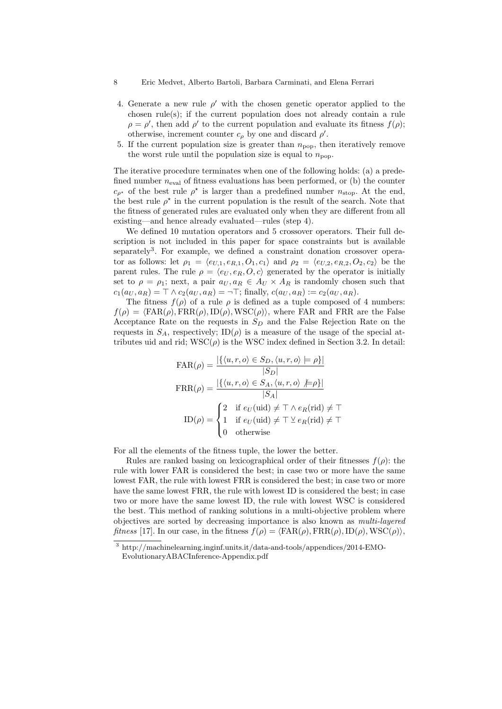- 8 Eric Medvet, Alberto Bartoli, Barbara Carminati, and Elena Ferrari
- 4. Generate a new rule  $\rho'$  with the chosen genetic operator applied to the chosen rule(s); if the current population does not already contain a rule  $\rho = \rho'$ , then add  $\rho'$  to the current population and evaluate its fitness  $f(\rho)$ ; otherwise, increment counter  $c_{\rho}$  by one and discard  $\rho'$ .
- 5. If the current population size is greater than  $n_{\text{pop}}$ , then iteratively remove the worst rule until the population size is equal to  $n_{\text{pop}}$ .

The iterative procedure terminates when one of the following holds: (a) a predefined number  $n_{eval}$  of fitness evaluations has been performed, or (b) the counter  $c_{\rho^*}$  of the best rule  $\rho^*$  is larger than a predefined number  $n_{\text{stop}}$ . At the end, the best rule  $\rho^*$  in the current population is the result of the search. Note that the fitness of generated rules are evaluated only when they are different from all existing—and hence already evaluated—rules (step 4).

We defined 10 mutation operators and 5 crossover operators. Their full description is not included in this paper for space constraints but is available separately<sup>3</sup>. For example, we defined a constraint donation crossover operator as follows: let  $\rho_1 = \langle e_{U,1}, e_{R,1}, O_1, c_1 \rangle$  and  $\rho_2 = \langle e_{U,2}, e_{R,2}, O_2, c_2 \rangle$  be the parent rules. The rule  $\rho = \langle e_U, e_R, O, c \rangle$  generated by the operator is initially set to  $\rho = \rho_1$ ; next, a pair  $a_U, a_R \in A_U \times A_R$  is randomly chosen such that  $c_1(a_U, a_R) = \top \wedge c_2(a_U, a_R) = -\top$ ; finally,  $c(a_U, a_R) := c_2(a_U, a_R)$ .

The fitness  $f(\rho)$  of a rule  $\rho$  is defined as a tuple composed of 4 numbers:  $f(\rho) = \langle \text{FAR}(\rho), \text{FRR}(\rho), \text{ID}(\rho), \text{WSC}(\rho) \rangle$ , where FAR and FRR are the False Acceptance Rate on the requests in  $S_D$  and the False Rejection Rate on the requests in  $S_A$ , respectively;  $ID(\rho)$  is a measure of the usage of the special attributes uid and rid;  $WSC(\rho)$  is the WSC index defined in Section 3.2. In detail:

$$
\text{FAR}(\rho) = \frac{|\{\langle u, r, o \rangle \in S_D, \langle u, r, o \rangle \models \rho\}|}{|S_D|}
$$

$$
\text{FRR}(\rho) = \frac{|\{\langle u, r, o \rangle \in S_A, \langle u, r, o \rangle \not\models \rho\}|}{|S_A|}
$$

$$
\text{ID}(\rho) = \begin{cases} 2 & \text{if } e_U(\text{uid}) \neq \top \land e_R(\text{rid}) \neq \top \\ 1 & \text{if } e_U(\text{uid}) \neq \top \vee e_R(\text{rid}) \neq \top \\ 0 & \text{otherwise} \end{cases}
$$

For all the elements of the fitness tuple, the lower the better.

Rules are ranked basing on lexicographical order of their fitnesses  $f(\rho)$ : the rule with lower FAR is considered the best; in case two or more have the same lowest FAR, the rule with lowest FRR is considered the best; in case two or more have the same lowest FRR, the rule with lowest ID is considered the best; in case two or more have the same lowest ID, the rule with lowest WSC is considered the best. This method of ranking solutions in a multi-objective problem where objectives are sorted by decreasing importance is also known as multi-layered fitness [17]. In our case, in the fitness  $f(\rho) = \langle \text{FAR}(\rho), \text{FRR}(\rho), \text{ID}(\rho), \text{WSC}(\rho) \rangle$ ,

 $^3$ http://machinelearning.inginf.units.it/data-and-tools/appendices/2014-EMO-EvolutionaryABACInference-Appendix.pdf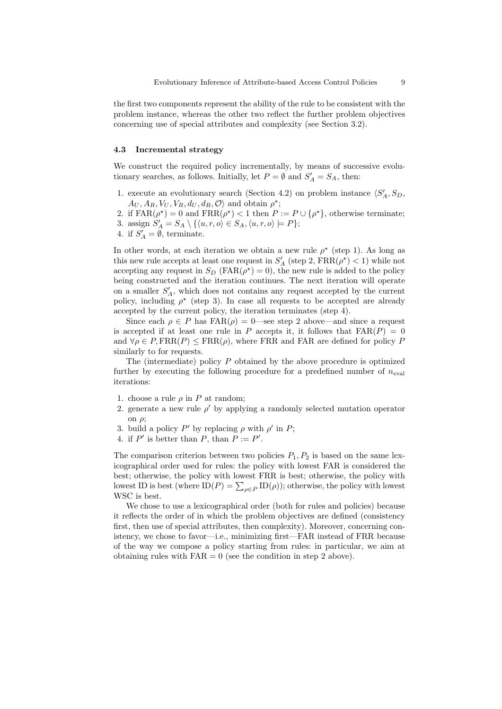the first two components represent the ability of the rule to be consistent with the problem instance, whereas the other two reflect the further problem objectives concerning use of special attributes and complexity (see Section 3.2).

#### 4.3 Incremental strategy

We construct the required policy incrementally, by means of successive evolutionary searches, as follows. Initially, let  $P = \emptyset$  and  $S'_A = S_A$ , then:

- 1. execute an evolutionary search (Section 4.2) on problem instance  $\langle S'_A, S_D, \rangle$  $A_U, A_R, V_U, V_R, d_U, d_R, \mathcal{O}$  and obtain  $\rho^*$ ;
- 2. if  $FAR(\rho^*) = 0$  and  $FRR(\rho^*) < 1$  then  $P := P \cup {\rho^*}$ , otherwise terminate; 3. assign  $S'_A = S_A \setminus \{ \langle u, r, o \rangle \in S_A, \langle u, r, o \rangle \models P \};$
- 4. if  $S'_A = \emptyset$ , terminate.

In other words, at each iteration we obtain a new rule  $\rho^*$  (step 1). As long as this new rule accepts at least one request in  $S_A'$  (step 2,  $\mathrm{FRR}(\rho^\star) < 1)$  while not accepting any request in  $S_D$  (FAR( $\rho^*$ ) = 0), the new rule is added to the policy being constructed and the iteration continues. The next iteration will operate on a smaller  $S'_A$ , which does not contains any request accepted by the current policy, including  $\rho^*$  (step 3). In case all requests to be accepted are already accepted by the current policy, the iteration terminates (step 4).

Since each  $\rho \in P$  has  $FAR(\rho) = 0$ —see step 2 above—and since a request is accepted if at least one rule in P accepts it, it follows that  $FAR(P) = 0$ and  $\forall \rho \in P$ ,  $\text{FRR}(P) \leq \text{FRR}(\rho)$ , where FRR and FAR are defined for policy P similarly to for requests.

The (intermediate) policy P obtained by the above procedure is optimized further by executing the following procedure for a predefined number of  $n_{eval}$ iterations:

- 1. choose a rule  $\rho$  in P at random;
- 2. generate a new rule  $\rho'$  by applying a randomly selected mutation operator on  $\rho$ ;
- 3. build a policy P' by replacing  $\rho$  with  $\rho'$  in P;
- 4. if P' is better than P, than  $P := P'$ .

The comparison criterion between two policies  $P_1, P_2$  is based on the same lexicographical order used for rules: the policy with lowest FAR is considered the best; otherwise, the policy with lowest FRR is best; otherwise, the policy with lowest ID is best (where  $ID(P) = \sum_{\rho \in P} ID(\rho)$ ); otherwise, the policy with lowest WSC is best.

We chose to use a lexicographical order (both for rules and policies) because it reflects the order of in which the problem objectives are defined (consistency first, then use of special attributes, then complexity). Moreover, concerning conistency, we chose to favor—i.e., minimizing first—FAR instead of FRR because of the way we compose a policy starting from rules: in particular, we aim at obtaining rules with  $FAR = 0$  (see the condition in step 2 above).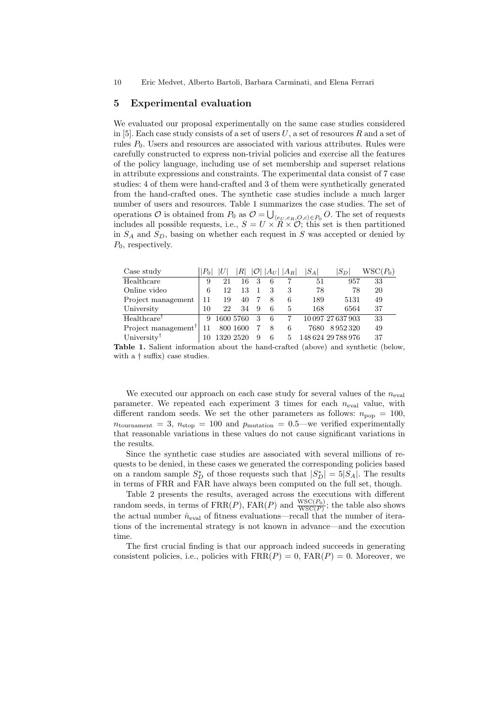# 5 Experimental evaluation

We evaluated our proposal experimentally on the same case studies considered in [5]. Each case study consists of a set of users  $U$ , a set of resources  $R$  and a set of rules  $P_0$ . Users and resources are associated with various attributes. Rules were carefully constructed to express non-trivial policies and exercise all the features of the policy language, including use of set membership and superset relations in attribute expressions and constraints. The experimental data consist of 7 case studies: 4 of them were hand-crafted and 3 of them were synthetically generated from the hand-crafted ones. The synthetic case studies include a much larger number of users and resources. Table 1 summarizes the case studies. The set of operations  $O$  is obtained from  $P_0$  as  $O = \bigcup_{\langle e_U, e_R, O, c \rangle \in P_0} O$ . The set of requests includes all possible requests, i.e.,  $S = U \times R \times O$ ; this set is then partitioned in  $S_A$  and  $S_D$ , basing on whether each request in S was accepted or denied by  $P_0$ , respectively.

| Case study                |    |           |          |   | $ A_U $ | $ A_R $ | $ S_A $ | $S_D$              | ${\rm WSC}(P_0)$ |
|---------------------------|----|-----------|----------|---|---------|---------|---------|--------------------|------------------|
| Healthcare                | 9  | 21        | 16       |   | 6       |         | 51      | 957                | 33               |
| Online video              | 6  | 12        |          |   |         |         | 78      | 78                 | 20               |
| Project management        | 11 | 19        | 40       |   | 8       | 6       | 189     | 5131               | 49               |
| University                | 10 | 22        | 34       | 9 | 6       | 5       | 168     | 6564               | 37               |
| $Healthcare$ <sup>T</sup> |    | 1600 5760 |          | 3 | 6       |         |         | 10 097 27 637 903  | 33               |
| Project management        |    |           | 800 1600 |   | 8       | 6       | 7680    | 8952320            | 49               |
| University <sup>†</sup>   |    | 1320 2520 |          | 9 | 6       | 5       |         | 148 624 29 788 976 | 37               |

Table 1. Salient information about the hand-crafted (above) and synthetic (below, with a † suffix) case studies.

We executed our approach on each case study for several values of the  $n_{eval}$ parameter. We repeated each experiment 3 times for each  $n_{eval}$  value, with different random seeds. We set the other parameters as follows:  $n_{\text{pop}} = 100$ ,  $n_{\text{tournament}} = 3$ ,  $n_{\text{stop}} = 100$  and  $p_{\text{mutation}} = 0.5$ —we verified experimentally that reasonable variations in these values do not cause significant variations in the results.

Since the synthetic case studies are associated with several millions of requests to be denied, in these cases we generated the corresponding policies based on a random sample  $S_D^*$  of those requests such that  $|S_D^*| = 5|S_A|$ . The results in terms of FRR and FAR have always been computed on the full set, though.

Table 2 presents the results, averaged across the executions with different random seeds, in terms of  $\text{FRR}(P)$ ,  $\text{FAR}(P)$  and  $\frac{\text{WSC}(P_0)}{\text{WSC}(P)}$ ; the table also shows the actual number  $\hat{n}_{eval}$  of fitness evaluations—recall that the number of iterations of the incremental strategy is not known in advance—and the execution time.

The first crucial finding is that our approach indeed succeeds in generating consistent policies, i.e., policies with  $FRR(P) = 0$ ,  $FAR(P) = 0$ . Moreover, we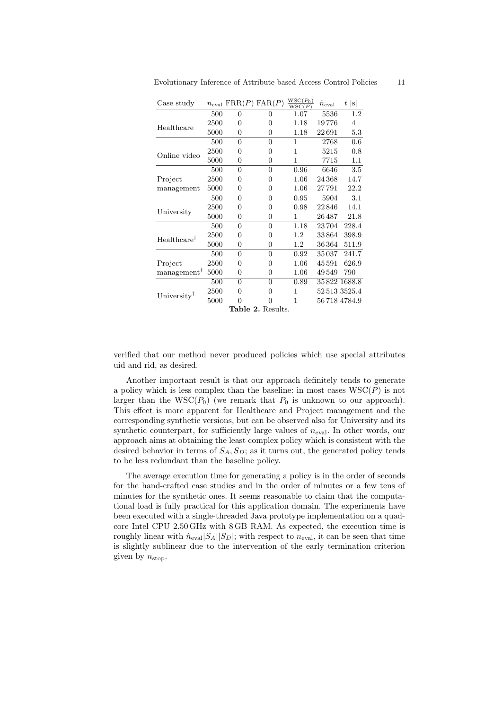| Case study                                    | $n_{\rm eval}$ |                | $\operatorname{FRR}(P) \operatorname{FAR}(P)$ | $W5C(F_0)$<br>WSC(P) | $\ddot{n}_{\rm eval}$ | t[s]           |  |  |
|-----------------------------------------------|----------------|----------------|-----------------------------------------------|----------------------|-----------------------|----------------|--|--|
|                                               | 500            | $\Omega$       | 0                                             | 1.07                 | 5536                  | 1.2            |  |  |
|                                               | 2500           | $\Omega$       | $\Omega$                                      | 1.18                 | 19776                 | $\overline{4}$ |  |  |
| Healthcare                                    | 5000           | 0              | 0                                             | 1.18                 | $22\,691$             | 5.3            |  |  |
|                                               | 500            | $\theta$       | 0                                             | 1                    | 2768                  | 0.6            |  |  |
| Online video                                  | 2500           | $\Omega$       | 0                                             | 1                    | 5215                  | 0.8            |  |  |
|                                               | 5000           | $\theta$       | 0                                             | 1                    | 7715                  | 1.1            |  |  |
|                                               | 500            | $\theta$       | $\theta$                                      | 0.96                 | 6646                  | 3.5            |  |  |
| Project                                       | 2500           | 0              | 0                                             | 1.06                 | 24368                 | 14.7           |  |  |
| management                                    | 5000           | 0              | 0                                             | 1.06                 | $27\,791$             | 22.2           |  |  |
|                                               | 500            | $\overline{0}$ | $\overline{0}$                                | 0.95                 | 5904                  | $3.1\,$        |  |  |
| University                                    | 2500           | 0              | 0                                             | 0.98                 | 22 846                | 14.1           |  |  |
|                                               | 5000           | $\theta$       | $\theta$                                      | 1                    | 26 487                | 21.8           |  |  |
|                                               | 500            | $\theta$       | $\overline{0}$                                | 1.18                 | 23704                 | 228.4          |  |  |
| Healthcare <sup>†</sup>                       | 2500           | 0              | 0                                             | 1.2                  | 33864                 | 398.9          |  |  |
|                                               | 5000           | 0              | 0                                             | 1.2                  | 36364                 | 511.9          |  |  |
|                                               | 500            | $\theta$       | $\overline{0}$                                | 0.92                 | 35037                 | 241.7          |  |  |
| Project                                       | 2500           | $\Omega$       | 0                                             | 1.06                 | 45591                 | 626.9          |  |  |
| $m$ anagement <sup>†</sup>                    | 5000           | 0              | 0                                             | 1.06                 | 49549                 | 790            |  |  |
|                                               | 500            | 0              | $\overline{0}$                                | 0.89                 |                       | 35 822 1688.8  |  |  |
| University <sup><math>\mathsf{T}</math></sup> | 2500           | $\Omega$       | 0                                             | 1                    |                       | 525133525.4    |  |  |
|                                               | 5000           | $\Omega$       | 0                                             | 1                    |                       | 56 718 4784.9  |  |  |
| <b>Table 2. Results.</b>                      |                |                |                                               |                      |                       |                |  |  |

 $WSC(P_1)$ 

verified that our method never produced policies which use special attributes uid and rid, as desired.

Another important result is that our approach definitely tends to generate a policy which is less complex than the baseline: in most cases  $WSC(P)$  is not larger than the  $WSC(P_0)$  (we remark that  $P_0$  is unknown to our approach). This effect is more apparent for Healthcare and Project management and the corresponding synthetic versions, but can be observed also for University and its synthetic counterpart, for sufficiently large values of  $n_{eval}$ . In other words, our approach aims at obtaining the least complex policy which is consistent with the desired behavior in terms of  $S_A$ ,  $S_D$ ; as it turns out, the generated policy tends to be less redundant than the baseline policy.

The average execution time for generating a policy is in the order of seconds for the hand-crafted case studies and in the order of minutes or a few tens of minutes for the synthetic ones. It seems reasonable to claim that the computational load is fully practical for this application domain. The experiments have been executed with a single-threaded Java prototype implementation on a quadcore Intel CPU 2.50 GHz with 8 GB RAM. As expected, the execution time is roughly linear with  $\hat{n}_{eval}|S_A||S_D|$ ; with respect to  $n_{eval}$ , it can be seen that time is slightly sublinear due to the intervention of the early termination criterion given by  $n_{\text{stop}}$ .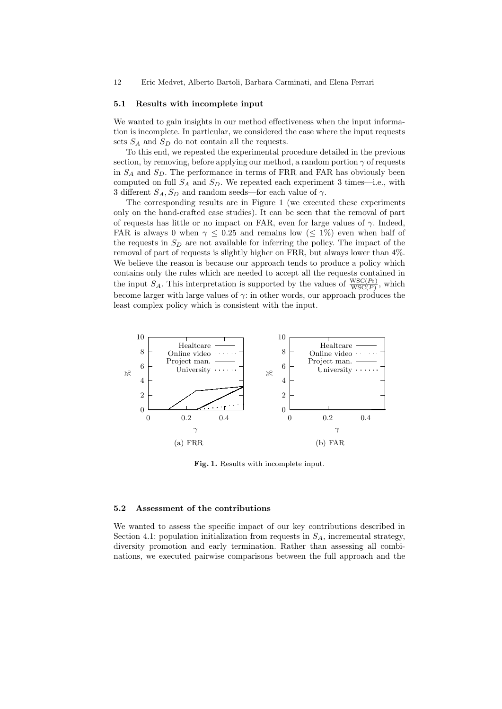### 5.1 Results with incomplete input

We wanted to gain insights in our method effectiveness when the input information is incomplete. In particular, we considered the case where the input requests sets  $S_A$  and  $S_D$  do not contain all the requests.

To this end, we repeated the experimental procedure detailed in the previous section, by removing, before applying our method, a random portion  $\gamma$  of requests in  $S_A$  and  $S_D$ . The performance in terms of FRR and FAR has obviously been computed on full  $S_A$  and  $S_D$ . We repeated each experiment 3 times—i.e., with 3 different  $S_A, S_D$  and random seeds—for each value of  $\gamma$ .

The corresponding results are in Figure 1 (we executed these experiments only on the hand-crafted case studies). It can be seen that the removal of part of requests has little or no impact on FAR, even for large values of  $\gamma$ . Indeed, FAR is always 0 when  $\gamma \leq 0.25$  and remains low ( $\leq 1\%$ ) even when half of the requests in  $S_D$  are not available for inferring the policy. The impact of the removal of part of requests is slightly higher on FRR, but always lower than 4%. We believe the reason is because our approach tends to produce a policy which contains only the rules which are needed to accept all the requests contained in the input  $S_A$ . This interpretation is supported by the values of  $\frac{\text{WSC}(P_0)}{\text{WSC}(P)}$ , which become larger with large values of  $\gamma$ : in other words, our approach produces the least complex policy which is consistent with the input.



Fig. 1. Results with incomplete input.

### 5.2 Assessment of the contributions

We wanted to assess the specific impact of our key contributions described in Section 4.1: population initialization from requests in  $S_A$ , incremental strategy, diversity promotion and early termination. Rather than assessing all combinations, we executed pairwise comparisons between the full approach and the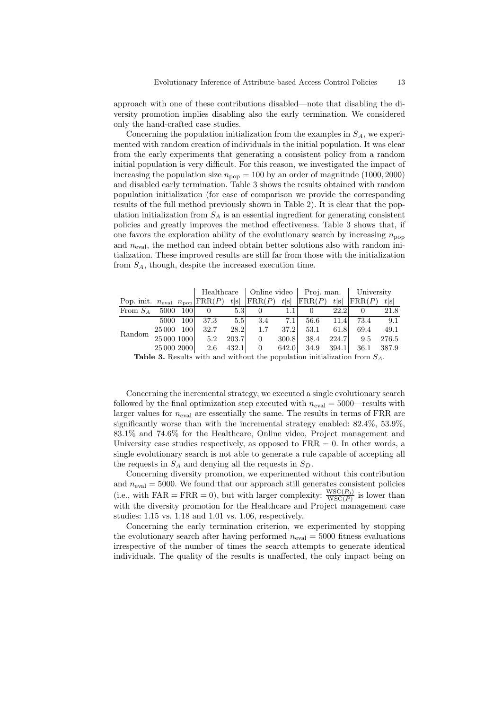approach with one of these contributions disabled—note that disabling the diversity promotion implies disabling also the early termination. We considered only the hand-crafted case studies.

Concerning the population initialization from the examples in  $S_A$ , we experimented with random creation of individuals in the initial population. It was clear from the early experiments that generating a consistent policy from a random initial population is very difficult. For this reason, we investigated the impact of increasing the population size  $n_{\rm pop} = 100$  by an order of magnitude (1000, 2000) and disabled early termination. Table 3 shows the results obtained with random population initialization (for ease of comparison we provide the corresponding results of the full method previously shown in Table 2). It is clear that the population initialization from  $S_A$  is an essential ingredient for generating consistent policies and greatly improves the method effectiveness. Table 3 shows that, if one favors the exploration ability of the evolutionary search by increasing  $n_{\text{pop}}$ and  $n_{eval}$ , the method can indeed obtain better solutions also with random intialization. These improved results are still far from those with the initialization from  $S_A$ , though, despite the increased execution time.

|                                                                                  |             |            |      |       |                |      | Healthcare   Online video   Proj. man.   University |      |           |       |
|----------------------------------------------------------------------------------|-------------|------------|------|-------|----------------|------|-----------------------------------------------------|------|-----------|-------|
| Pop. init. $n_{eval}$ $n_{pop}$ FRR(P) t[s] FRR(P) t[s] FRR(P) t[s] FRR(P)       |             |            |      |       |                |      |                                                     |      |           | t s   |
| From $S_A$ 5000 100 0                                                            |             |            |      | 5.3   | $\overline{0}$ |      | $1.1$ 0                                             | 22.2 | $\Omega$  | 21.8  |
| Random                                                                           | 5000        | <b>100</b> | 37.3 | 5.5   | 3.4            | 7.1  | 56.6                                                |      | 11.4 73.4 | 9.1   |
|                                                                                  | 25 000 100  |            | 32.7 |       | $28.2$ 1.7     | 37.2 | 53.1                                                | 61.8 | 69.4      | 49.1  |
|                                                                                  | 25 000 1000 |            | 5.2  | 203.7 | $\overline{0}$ |      | $300.8$ 38.4                                        |      | 224.7 9.5 | 276.5 |
|                                                                                  | 25 000 2000 |            |      |       |                |      | 2.6 432.1 0 642.0 34.9 394.1 36.1 387.9             |      |           |       |
| <b>Toble 2</b> Results with and without the population initialization from $S$ . |             |            |      |       |                |      |                                                     |      |           |       |

**Table 3.** Results with and without the population initialization from  $S_A$ .

Concerning the incremental strategy, we executed a single evolutionary search followed by the final optimization step executed with  $n_{eval} = 5000$ —results with larger values for  $n_{eval}$  are essentially the same. The results in terms of FRR are significantly worse than with the incremental strategy enabled: 82.4%, 53.9%, 83.1% and 74.6% for the Healthcare, Online video, Project management and University case studies respectively, as opposed to  $FRR = 0$ . In other words, a single evolutionary search is not able to generate a rule capable of accepting all the requests in  $S_A$  and denying all the requests in  $S_D$ .

Concerning diversity promotion, we experimented without this contribution and  $n_{eval} = 5000$ . We found that our approach still generates consistent policies (i.e., with FAR = FRR = 0), but with larger complexity:  $\frac{\text{WSC}(P_0)}{\text{WSC}(P)}$  is lower than with the diversity promotion for the Healthcare and Project management case studies: 1.15 vs. 1.18 and 1.01 vs. 1.06, respectively.

Concerning the early termination criterion, we experimented by stopping the evolutionary search after having performed  $n_{\text{eval}} = 5000$  fitness evaluations irrespective of the number of times the search attempts to generate identical individuals. The quality of the results is unaffected, the only impact being on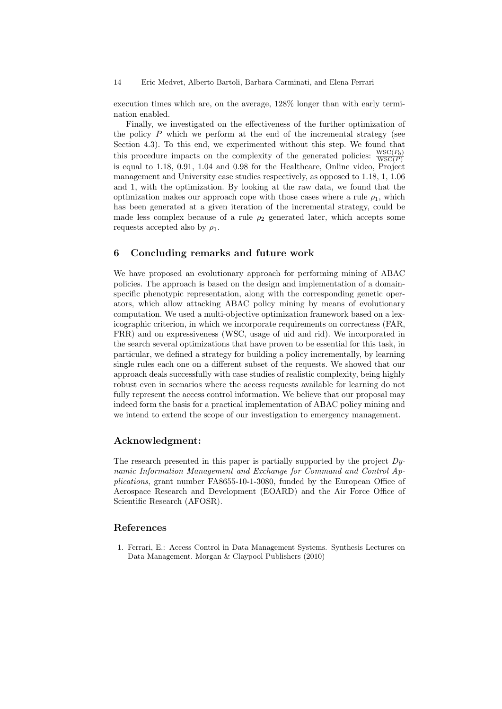execution times which are, on the average, 128% longer than with early termination enabled.

Finally, we investigated on the effectiveness of the further optimization of the policy  $P$  which we perform at the end of the incremental strategy (see Section 4.3). To this end, we experimented without this step. We found that this procedure impacts on the complexity of the generated policies:  $\frac{\text{WSC}(P_0)}{\text{WSC}(P)}$ is equal to 1.18, 0.91, 1.04 and 0.98 for the Healthcare, Online video, Project management and University case studies respectively, as opposed to 1.18, 1, 1.06 and 1, with the optimization. By looking at the raw data, we found that the optimization makes our approach cope with those cases where a rule  $\rho_1$ , which has been generated at a given iteration of the incremental strategy, could be made less complex because of a rule  $\rho_2$  generated later, which accepts some requests accepted also by  $\rho_1$ .

# 6 Concluding remarks and future work

We have proposed an evolutionary approach for performing mining of ABAC policies. The approach is based on the design and implementation of a domainspecific phenotypic representation, along with the corresponding genetic operators, which allow attacking ABAC policy mining by means of evolutionary computation. We used a multi-objective optimization framework based on a lexicographic criterion, in which we incorporate requirements on correctness (FAR, FRR) and on expressiveness (WSC, usage of uid and rid). We incorporated in the search several optimizations that have proven to be essential for this task, in particular, we defined a strategy for building a policy incrementally, by learning single rules each one on a different subset of the requests. We showed that our approach deals successfully with case studies of realistic complexity, being highly robust even in scenarios where the access requests available for learning do not fully represent the access control information. We believe that our proposal may indeed form the basis for a practical implementation of ABAC policy mining and we intend to extend the scope of our investigation to emergency management.

# Acknowledgment:

The research presented in this paper is partially supported by the project  $D_y$ namic Information Management and Exchange for Command and Control Applications, grant number FA8655-10-1-3080, funded by the European Office of Aerospace Research and Development (EOARD) and the Air Force Office of Scientific Research (AFOSR).

# References

1. Ferrari, E.: Access Control in Data Management Systems. Synthesis Lectures on Data Management. Morgan & Claypool Publishers (2010)